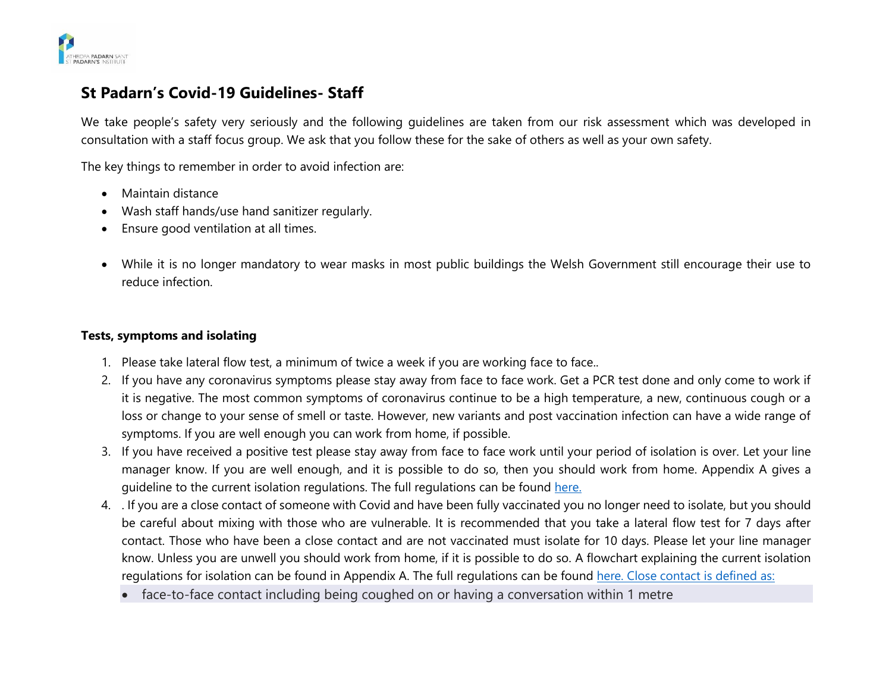

# **St Padarn's Covid-19 Guidelines- Staff**

We take people's safety very seriously and the following guidelines are taken from our risk assessment which was developed in consultation with a staff focus group. We ask that you follow these for the sake of others as well as your own safety.

The key things to remember in order to avoid infection are:

- Maintain distance
- Wash staff hands/use hand sanitizer regularly.
- Ensure good ventilation at all times.
- While it is no longer mandatory to wear masks in most public buildings the Welsh Government still encourage their use to reduce infection.

#### **Tests, symptoms and isolating**

- 1. Please take lateral flow test, a minimum of twice a week if you are working face to face..
- 2. If you have any coronavirus symptoms please stay away from face to face work. Get a PCR test done and only come to work if it is negative. The most common symptoms of coronavirus continue to be a high temperature, a new, continuous cough or a loss or change to your sense of smell or taste. However, new variants and post vaccination infection can have a wide range of symptoms. If you are well enough you can work from home, if possible.
- 3. If you have received a positive test please stay away from face to face work until your period of isolation is over. Let your line manager know. If you are well enough, and it is possible to do so, then you should work from home. Appendix A gives a guideline to the current isolation regulations. The full regulations can be found [here.](https://gov.wales/self-isolation)
- 4. . If you are a close contact of someone with Covid and have been fully vaccinated you no longer need to isolate, but you should be careful about mixing with those who are vulnerable. It is recommended that you take a lateral flow test for 7 days after contact. Those who have been a close contact and are not vaccinated must isolate for 10 days. Please let your line manager know. Unless you are unwell you should work from home, if it is possible to do so. A flowchart explaining the current isolation regulations for isolation can be found in Appendix A. The full regulations can be found [here.](https://gov.wales/self-isolation) Close contact is defined as:
	- face-to-face contact including being coughed on or having a conversation within 1 metre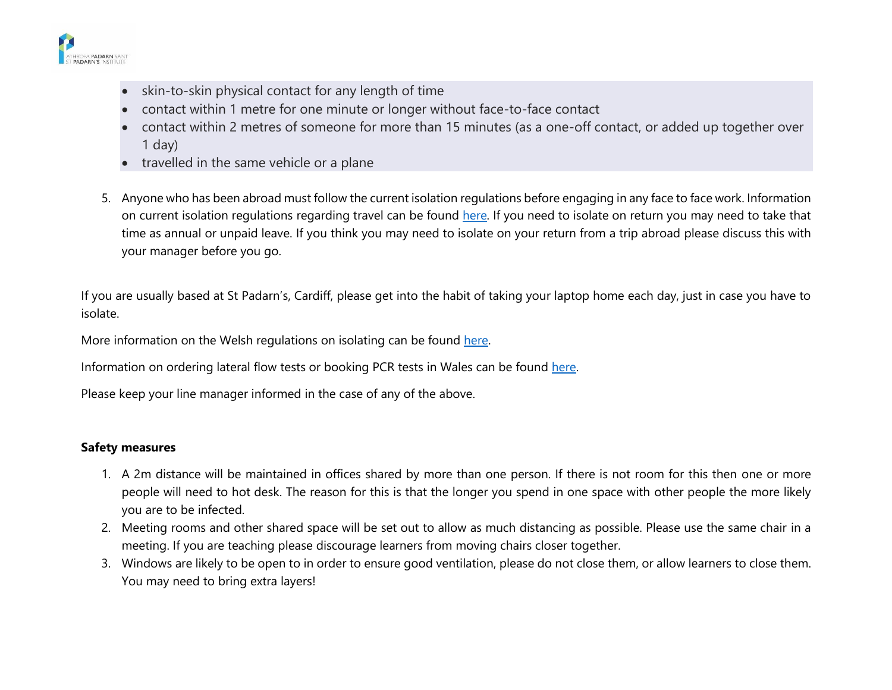

- skin-to-skin physical contact for any length of time
- contact within 1 metre for one minute or longer without face-to-face contact
- contact within 2 metres of someone for more than 15 minutes (as a one-off contact, or added up together over 1 day)
- travelled in the same vehicle or a plane
- 5. Anyone who has been abroad must follow the current isolation regulations before engaging in any face to face work. Information on current isolation regulations regarding travel can be found [here.](https://gov.wales/how-isolate-when-you-travel-wales-coronavirus-covid-19) If you need to isolate on return you may need to take that time as annual or unpaid leave. If you think you may need to isolate on your return from a trip abroad please discuss this with your manager before you go.

If you are usually based at St Padarn's, Cardiff, please get into the habit of taking your laptop home each day, just in case you have to isolate.

More information on the Welsh regulations on isolating can be found [here.](https://gov.wales/self-isolation)

Information on ordering lateral flow tests or booking PCR tests in Wales can be found [here.](https://gov.wales/get-tested-coronavirus-covid-19)

Please keep your line manager informed in the case of any of the above.

## **Safety measures**

- 1. A 2m distance will be maintained in offices shared by more than one person. If there is not room for this then one or more people will need to hot desk. The reason for this is that the longer you spend in one space with other people the more likely you are to be infected.
- 2. Meeting rooms and other shared space will be set out to allow as much distancing as possible. Please use the same chair in a meeting. If you are teaching please discourage learners from moving chairs closer together.
- 3. Windows are likely to be open to in order to ensure good ventilation, please do not close them, or allow learners to close them. You may need to bring extra layers!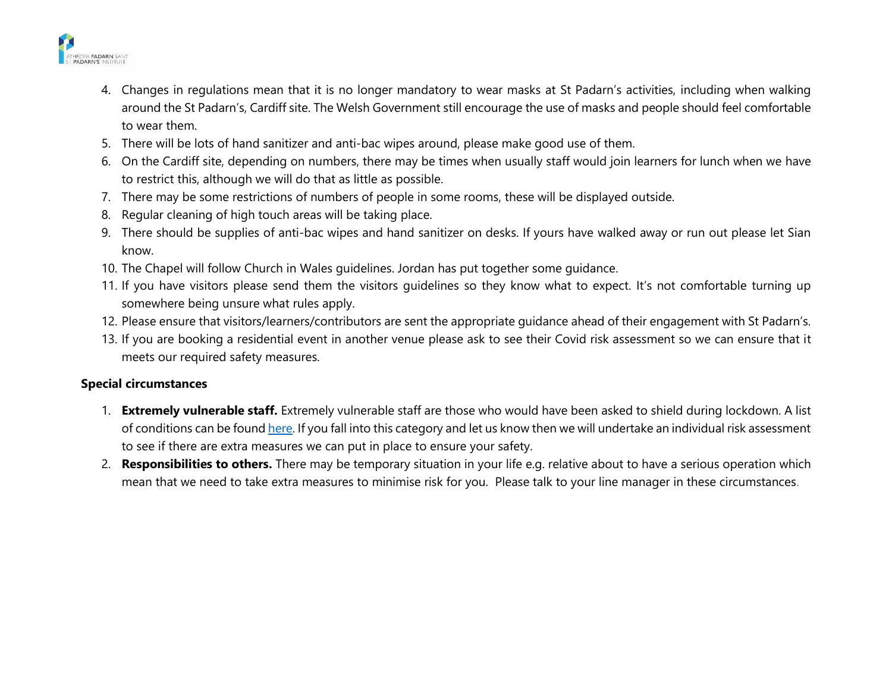

- 4. Changes in regulations mean that it is no longer mandatory to wear masks at St Padarn's activities, including when walking around the St Padarn's, Cardiff site. The Welsh Government still encourage the use of masks and people should feel comfortable to wear them.
- 5. There will be lots of hand sanitizer and anti-bac wipes around, please make good use of them.
- 6. On the Cardiff site, depending on numbers, there may be times when usually staff would join learners for lunch when we have to restrict this, although we will do that as little as possible.
- 7. There may be some restrictions of numbers of people in some rooms, these will be displayed outside.
- 8. Regular cleaning of high touch areas will be taking place.
- 9. There should be supplies of anti-bac wipes and hand sanitizer on desks. If yours have walked away or run out please let Sian know.
- 10. The Chapel will follow Church in Wales guidelines. Jordan has put together some guidance.
- 11. If you have visitors please send them the visitors guidelines so they know what to expect. It's not comfortable turning up somewhere being unsure what rules apply.
- 12. Please ensure that visitors/learners/contributors are sent the appropriate guidance ahead of their engagement with St Padarn's.
- 13. If you are booking a residential event in another venue please ask to see their Covid risk assessment so we can ensure that it meets our required safety measures.

## **Special circumstances**

- 1. **Extremely vulnerable staff.** Extremely vulnerable staff are those who would have been asked to shield during lockdown. A list of conditions can be found [here.](https://gov.wales/guidance-on-shielding-and-protecting-people-defined-on-medical-grounds-as-extremely-vulnerable-from-coronavirus-covid-19-html#section-38728) If you fall into this category and let us know then we will undertake an individual risk assessment to see if there are extra measures we can put in place to ensure your safety.
- 2. **Responsibilities to others.** There may be temporary situation in your life e.g. relative about to have a serious operation which mean that we need to take extra measures to minimise risk for you. Please talk to your line manager in these circumstances.